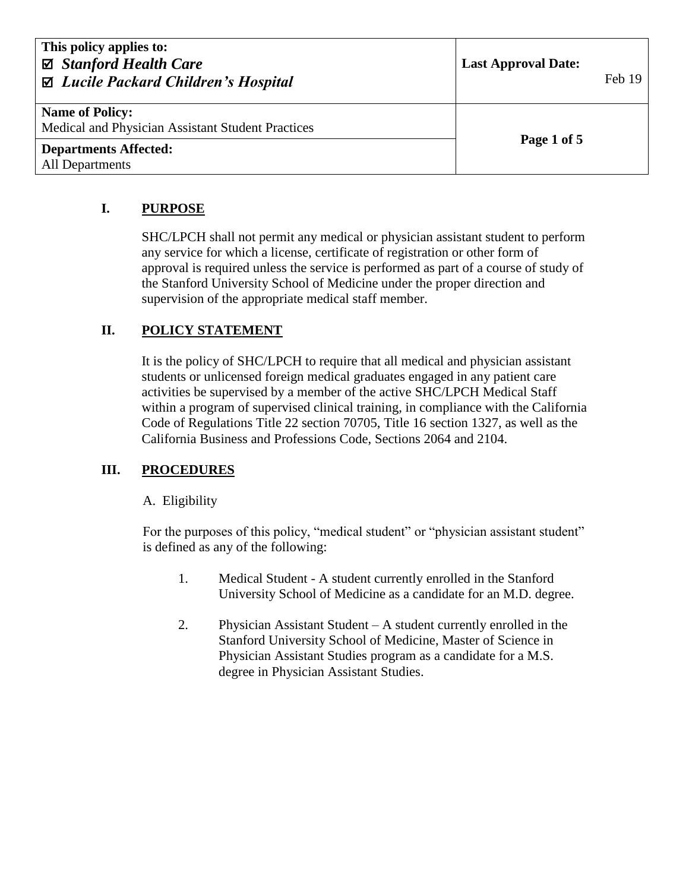| This policy applies to:<br>⊠ Stanford Health Care<br>⊠ Lucile Packard Children's Hospital | <b>Last Approval Date:</b> | Feb 19 |
|-------------------------------------------------------------------------------------------|----------------------------|--------|
| <b>Name of Policy:</b><br>Medical and Physician Assistant Student Practices               | Page 1 of 5                |        |
| <b>Departments Affected:</b><br>All Departments                                           |                            |        |

# **I. PURPOSE**

SHC/LPCH shall not permit any medical or physician assistant student to perform any service for which a license, certificate of registration or other form of approval is required unless the service is performed as part of a course of study of the Stanford University School of Medicine under the proper direction and supervision of the appropriate medical staff member.

## **II. POLICY STATEMENT**

It is the policy of SHC/LPCH to require that all medical and physician assistant students or unlicensed foreign medical graduates engaged in any patient care activities be supervised by a member of the active SHC/LPCH Medical Staff within a program of supervised clinical training, in compliance with the California Code of Regulations Title 22 section 70705, Title 16 section 1327, as well as the California Business and Professions Code, Sections 2064 and 2104.

## **III. PROCEDURES**

## A. Eligibility

For the purposes of this policy, "medical student" or "physician assistant student" is defined as any of the following:

- 1. Medical Student A student currently enrolled in the Stanford University School of Medicine as a candidate for an M.D. degree.
- 2. Physician Assistant Student A student currently enrolled in the Stanford University School of Medicine, Master of Science in Physician Assistant Studies program as a candidate for a M.S. degree in Physician Assistant Studies.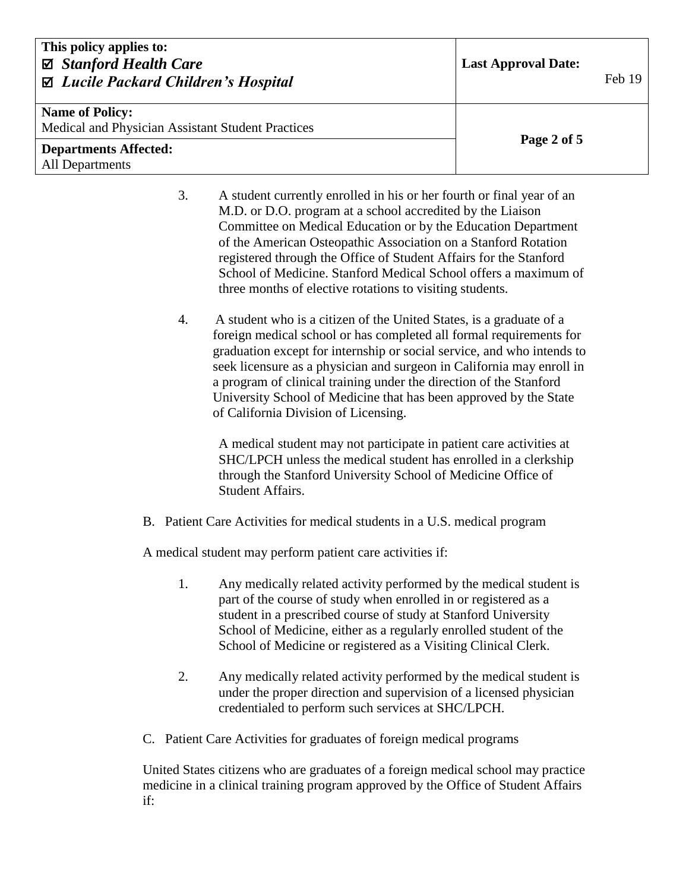| This policy applies to:<br>⊠ Stanford Health Care<br>⊠ Lucile Packard Children's Hospital | <b>Last Approval Date:</b> | Feb 19 |
|-------------------------------------------------------------------------------------------|----------------------------|--------|
| <b>Name of Policy:</b><br>Medical and Physician Assistant Student Practices               |                            |        |
| <b>Departments Affected:</b><br><b>All Departments</b>                                    | Page 2 of 5                |        |

- 3. A student currently enrolled in his or her fourth or final year of an M.D. or D.O. program at a school accredited by the Liaison Committee on Medical Education or by the Education Department of the American Osteopathic Association on a Stanford Rotation registered through the Office of Student Affairs for the Stanford School of Medicine. Stanford Medical School offers a maximum of three months of elective rotations to visiting students.
- 4. A student who is a citizen of the United States, is a graduate of a foreign medical school or has completed all formal requirements for graduation except for internship or social service, and who intends to seek licensure as a physician and surgeon in California may enroll in a program of clinical training under the direction of the Stanford University School of Medicine that has been approved by the State of California Division of Licensing.

A medical student may not participate in patient care activities at SHC/LPCH unless the medical student has enrolled in a clerkship through the Stanford University School of Medicine Office of Student Affairs.

B. Patient Care Activities for medical students in a U.S. medical program

A medical student may perform patient care activities if:

- 1. Any medically related activity performed by the medical student is part of the course of study when enrolled in or registered as a student in a prescribed course of study at Stanford University School of Medicine, either as a regularly enrolled student of the School of Medicine or registered as a Visiting Clinical Clerk.
- 2. Any medically related activity performed by the medical student is under the proper direction and supervision of a licensed physician credentialed to perform such services at SHC/LPCH.
- C. Patient Care Activities for graduates of foreign medical programs

United States citizens who are graduates of a foreign medical school may practice medicine in a clinical training program approved by the Office of Student Affairs if: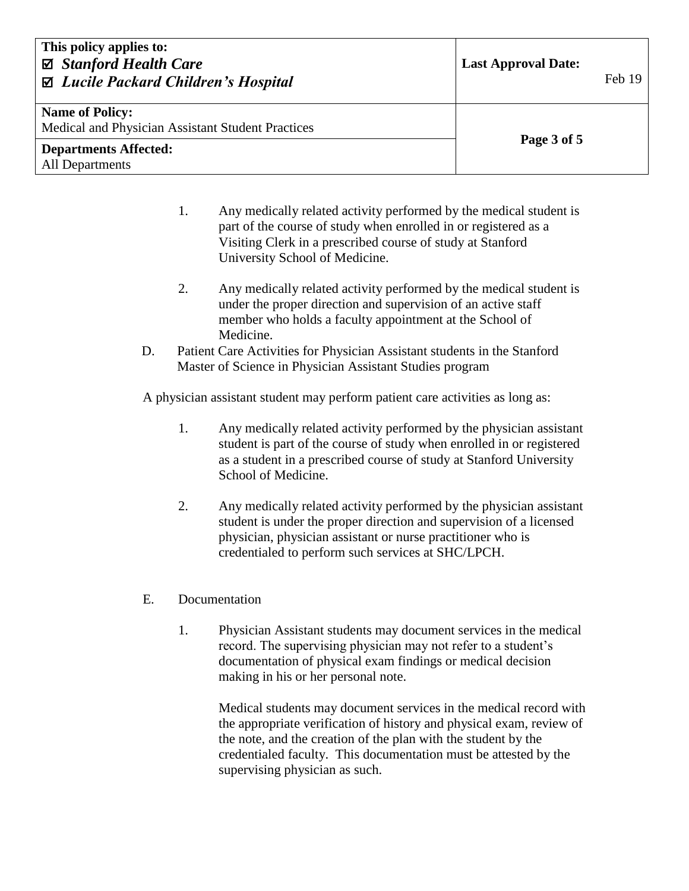| This policy applies to:<br>⊠ Stanford Health Care<br>⊠ Lucile Packard Children's Hospital | <b>Last Approval Date:</b> | Feb 19 |
|-------------------------------------------------------------------------------------------|----------------------------|--------|
| <b>Name of Policy:</b><br>Medical and Physician Assistant Student Practices               | Page 3 of 5                |        |
| <b>Departments Affected:</b><br>All Departments                                           |                            |        |

- 1. Any medically related activity performed by the medical student is part of the course of study when enrolled in or registered as a Visiting Clerk in a prescribed course of study at Stanford University School of Medicine.
- 2. Any medically related activity performed by the medical student is under the proper direction and supervision of an active staff member who holds a faculty appointment at the School of Medicine.
- D. Patient Care Activities for Physician Assistant students in the Stanford Master of Science in Physician Assistant Studies program

A physician assistant student may perform patient care activities as long as:

- 1. Any medically related activity performed by the physician assistant student is part of the course of study when enrolled in or registered as a student in a prescribed course of study at Stanford University School of Medicine.
- 2. Any medically related activity performed by the physician assistant student is under the proper direction and supervision of a licensed physician, physician assistant or nurse practitioner who is credentialed to perform such services at SHC/LPCH.
- E. Documentation
	- 1. Physician Assistant students may document services in the medical record. The supervising physician may not refer to a student's documentation of physical exam findings or medical decision making in his or her personal note.

Medical students may document services in the medical record with the appropriate verification of history and physical exam, review of the note, and the creation of the plan with the student by the credentialed faculty. This documentation must be attested by the supervising physician as such.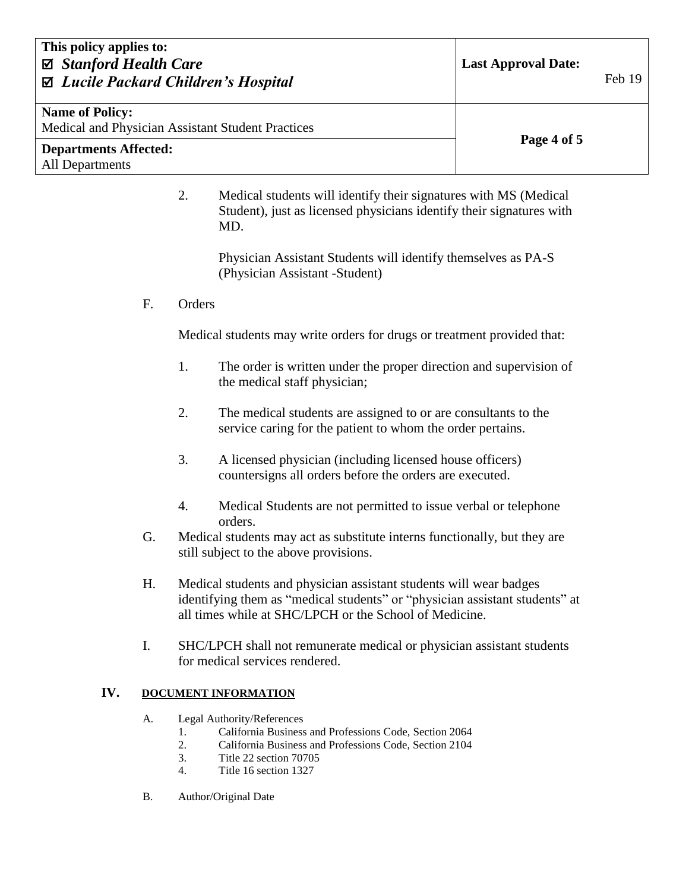| This policy applies to:<br>⊠ Stanford Health Care<br>⊠ Lucile Packard Children's Hospital | <b>Last Approval Date:</b><br>Feb 19 |  |
|-------------------------------------------------------------------------------------------|--------------------------------------|--|
| <b>Name of Policy:</b><br>Medical and Physician Assistant Student Practices               |                                      |  |
| <b>Departments Affected:</b><br>All Departments                                           | Page 4 of 5                          |  |

2. Medical students will identify their signatures with MS (Medical Student), just as licensed physicians identify their signatures with MD.

> Physician Assistant Students will identify themselves as PA-S (Physician Assistant -Student)

F. Orders

Medical students may write orders for drugs or treatment provided that:

- 1. The order is written under the proper direction and supervision of the medical staff physician;
- 2. The medical students are assigned to or are consultants to the service caring for the patient to whom the order pertains.
- 3. A licensed physician (including licensed house officers) countersigns all orders before the orders are executed.
- 4. Medical Students are not permitted to issue verbal or telephone orders.
- G. Medical students may act as substitute interns functionally, but they are still subject to the above provisions.
- H. Medical students and physician assistant students will wear badges identifying them as "medical students" or "physician assistant students" at all times while at SHC/LPCH or the School of Medicine.
- I. SHC/LPCH shall not remunerate medical or physician assistant students for medical services rendered.

#### **IV. DOCUMENT INFORMATION**

- A. Legal Authority/References
	- 1. California Business and Professions Code, Section 2064
	- 2. California Business and Professions Code, Section 2104
	- 3. Title 22 section 70705
	- 4. Title 16 section 1327
- B. Author/Original Date